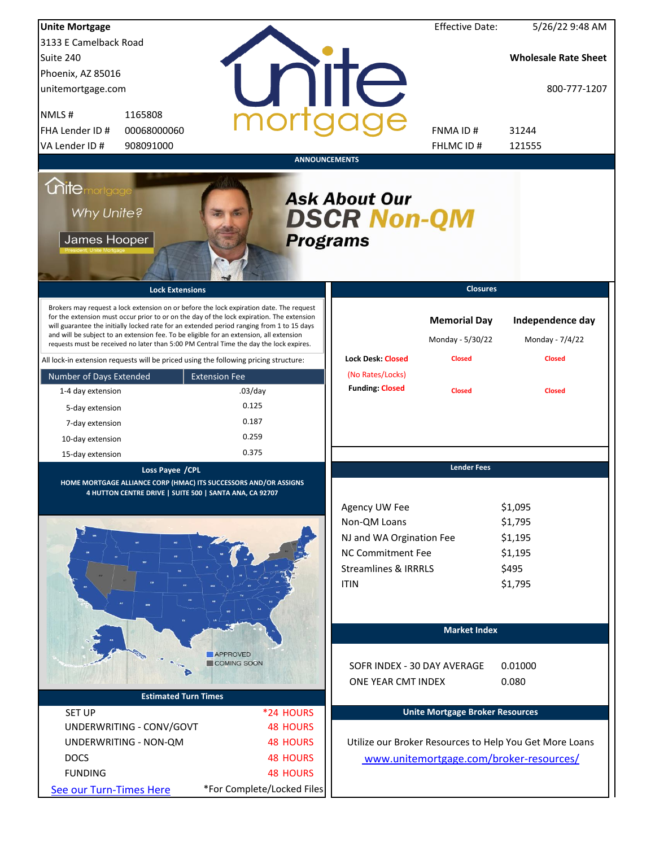| <b>Unite Mortgage</b>                               |                                                                                                                                                                                                                                                                                                                                                                                                                                                                        |                                                                                                                                  | <b>Effective Date:</b>                  | 5/26/22 9:48 AM                                              |
|-----------------------------------------------------|------------------------------------------------------------------------------------------------------------------------------------------------------------------------------------------------------------------------------------------------------------------------------------------------------------------------------------------------------------------------------------------------------------------------------------------------------------------------|----------------------------------------------------------------------------------------------------------------------------------|-----------------------------------------|--------------------------------------------------------------|
| 3133 E Camelback Road                               |                                                                                                                                                                                                                                                                                                                                                                                                                                                                        |                                                                                                                                  |                                         |                                                              |
| Suite 240                                           |                                                                                                                                                                                                                                                                                                                                                                                                                                                                        |                                                                                                                                  |                                         | <b>Wholesale Rate Sheet</b>                                  |
| Phoenix, AZ 85016                                   |                                                                                                                                                                                                                                                                                                                                                                                                                                                                        |                                                                                                                                  |                                         |                                                              |
| unitemortgage.com                                   |                                                                                                                                                                                                                                                                                                                                                                                                                                                                        | <b>TITE</b>                                                                                                                      |                                         | 800-777-1207                                                 |
| NMLS#<br>1165808                                    |                                                                                                                                                                                                                                                                                                                                                                                                                                                                        |                                                                                                                                  |                                         |                                                              |
| FHA Lender ID #<br>00068000060                      |                                                                                                                                                                                                                                                                                                                                                                                                                                                                        |                                                                                                                                  | FNMA ID#                                | 31244                                                        |
| VA Lender ID #<br>908091000                         |                                                                                                                                                                                                                                                                                                                                                                                                                                                                        |                                                                                                                                  | FHLMC ID#                               | 121555                                                       |
|                                                     |                                                                                                                                                                                                                                                                                                                                                                                                                                                                        | <b>ANNOUNCEMENTS</b>                                                                                                             |                                         |                                                              |
| <b>Chite</b> mortgage<br>Why Unite?<br>James Hooper |                                                                                                                                                                                                                                                                                                                                                                                                                                                                        | <b>Ask About Our</b><br><b>DSCR Non-QM</b><br><b>Programs</b>                                                                    |                                         |                                                              |
|                                                     | <b>Lock Extensions</b>                                                                                                                                                                                                                                                                                                                                                                                                                                                 |                                                                                                                                  | <b>Closures</b>                         |                                                              |
|                                                     | Brokers may request a lock extension on or before the lock expiration date. The request<br>for the extension must occur prior to or on the day of the lock expiration. The extension<br>will guarantee the initially locked rate for an extended period ranging from 1 to 15 days<br>and will be subject to an extension fee. To be eligible for an extension, all extension<br>requests must be received no later than 5:00 PM Central Time the day the lock expires. |                                                                                                                                  | <b>Memorial Day</b><br>Monday - 5/30/22 | Independence day<br>Monday - 7/4/22                          |
|                                                     | All lock-in extension requests will be priced using the following pricing structure:                                                                                                                                                                                                                                                                                                                                                                                   | <b>Lock Desk: Closed</b>                                                                                                         | <b>Closed</b>                           | <b>Closed</b>                                                |
| Number of Days Extended                             | <b>Extension Fee</b>                                                                                                                                                                                                                                                                                                                                                                                                                                                   | (No Rates/Locks)                                                                                                                 |                                         |                                                              |
| 1-4 day extension                                   | $.03$ /day                                                                                                                                                                                                                                                                                                                                                                                                                                                             | <b>Funding: Closed</b>                                                                                                           | <b>Closed</b>                           | <b>Closed</b>                                                |
| 5-day extension                                     | 0.125                                                                                                                                                                                                                                                                                                                                                                                                                                                                  |                                                                                                                                  |                                         |                                                              |
| 7-day extension                                     | 0.187                                                                                                                                                                                                                                                                                                                                                                                                                                                                  |                                                                                                                                  |                                         |                                                              |
| 10-day extension                                    | 0.259                                                                                                                                                                                                                                                                                                                                                                                                                                                                  |                                                                                                                                  |                                         |                                                              |
| 15-day extension                                    | 0.375                                                                                                                                                                                                                                                                                                                                                                                                                                                                  |                                                                                                                                  |                                         |                                                              |
|                                                     | Loss Payee / CPL<br>HOME MORTGAGE ALLIANCE CORP (HMAC) ITS SUCCESSORS AND/OR ASSIGNS<br>4 HUTTON CENTRE DRIVE   SUITE 500   SANTA ANA, CA 92707                                                                                                                                                                                                                                                                                                                        | Agency UW Fee<br>Non-QM Loans<br>NJ and WA Orgination Fee<br>NC Commitment Fee<br><b>Streamlines &amp; IRRRLS</b><br><b>ITIN</b> | <b>Lender Fees</b>                      | \$1,095<br>\$1,795<br>\$1,195<br>\$1,195<br>\$495<br>\$1,795 |
|                                                     | <b>APPROVED</b><br>COMING SOON                                                                                                                                                                                                                                                                                                                                                                                                                                         | SOFR INDEX - 30 DAY AVERAGE<br>ONE YEAR CMT INDEX                                                                                | <b>Market Index</b>                     | 0.01000<br>0.080                                             |
|                                                     | <b>Estimated Turn Times</b>                                                                                                                                                                                                                                                                                                                                                                                                                                            |                                                                                                                                  |                                         |                                                              |
| <b>SET UP</b>                                       | *24 HOURS                                                                                                                                                                                                                                                                                                                                                                                                                                                              |                                                                                                                                  | <b>Unite Mortgage Broker Resources</b>  |                                                              |
| UNDERWRITING - CONV/GOVT                            | <b>48 HOURS</b>                                                                                                                                                                                                                                                                                                                                                                                                                                                        |                                                                                                                                  |                                         |                                                              |
| UNDERWRITING - NON-QM                               | <b>48 HOURS</b>                                                                                                                                                                                                                                                                                                                                                                                                                                                        |                                                                                                                                  |                                         | Utilize our Broker Resources to Help You Get More Loans      |
| <b>DOCS</b>                                         | <b>48 HOURS</b>                                                                                                                                                                                                                                                                                                                                                                                                                                                        |                                                                                                                                  |                                         | www.unitemortgage.com/broker-resources/                      |
| <b>FUNDING</b>                                      | <b>48 HOURS</b>                                                                                                                                                                                                                                                                                                                                                                                                                                                        |                                                                                                                                  |                                         |                                                              |
| See our Turn-Times Here                             | *For Complete/Locked Files                                                                                                                                                                                                                                                                                                                                                                                                                                             |                                                                                                                                  |                                         |                                                              |
|                                                     |                                                                                                                                                                                                                                                                                                                                                                                                                                                                        |                                                                                                                                  |                                         |                                                              |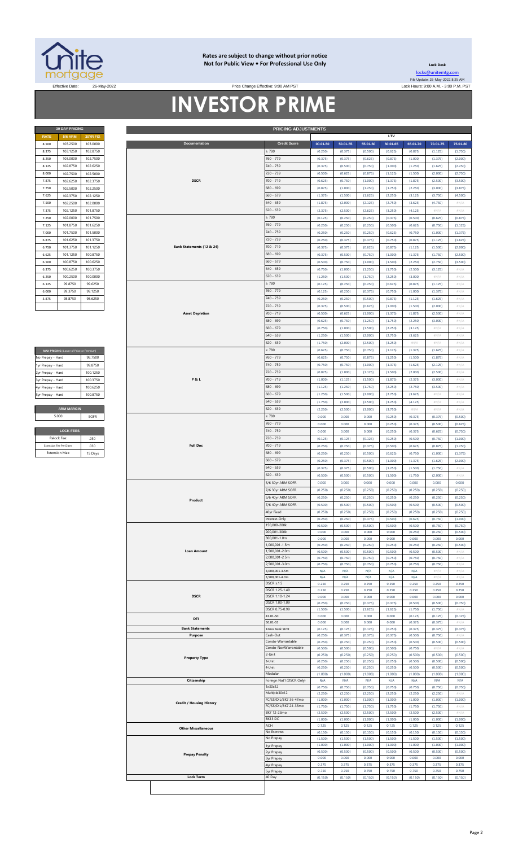

#### **Rates are subject to change without prior notice Not for Public View • For Professional Use Only Lock Desk**

Price Change Effective: 9:00 AM PST

**30 DAY PRICING PRICING ADJUSTMENTS**

[locks@unitemtg](mailto:locks@unitemtg.com).com File Update: 26-May-2022 8:35 AM Effective Date: 26-May-2022 Lock Hours: 9:00 A.M. - 3:00 P.M. PST

## **INVESTOR PRIME**

| <b>30 DAY PRICING</b> |                |                 |  |  |  |  |
|-----------------------|----------------|-----------------|--|--|--|--|
| <b>RATE</b>           | <b>5/6 ARM</b> | <b>30YR FIX</b> |  |  |  |  |
| 8.500                 | 103.2500       | 103.0000        |  |  |  |  |
| 8.375                 | 103.1250       | 102.8750        |  |  |  |  |
| 8.250                 | 103.0000       | 102.7500        |  |  |  |  |
| 8.125                 | 102.8750       | 102.6250        |  |  |  |  |
| 8.000                 | 102.7500       | 102.5000        |  |  |  |  |
| 7.875                 | 102.6250       | 102.3750        |  |  |  |  |
| 7.750                 | 102.5000       | 102.2500        |  |  |  |  |
| 7.625                 | 102.3750       | 102.1250        |  |  |  |  |
| 7.500                 | 102.2500       | 102.0000        |  |  |  |  |
| 7.375                 | 102.1250       | 101.8750        |  |  |  |  |
| 7.250                 | 102.0000       | 101.7500        |  |  |  |  |
| 7.125                 | 101.8750       | 101.6250        |  |  |  |  |
| 7.000                 | 101.7500       | 101.5000        |  |  |  |  |
| 6.875                 | 101.6250       | 101.3750        |  |  |  |  |
| 6.750                 | 101.3750       | 101.1250        |  |  |  |  |
| 6.625                 | 101.1250       | 100.8750        |  |  |  |  |
| 6.500                 | 100.8750       | 100.6250        |  |  |  |  |
| 6.375                 | 100.6250       | 100.3750        |  |  |  |  |
| 6.250                 | 100.2500       | 100,0000        |  |  |  |  |
| 6.125                 | 99.8750        | 99.6250         |  |  |  |  |
| 6.000                 | 99.3750        | 99.1250         |  |  |  |  |
| 5.875                 | 98.8750        | 98.6250         |  |  |  |  |
|                       |                |                 |  |  |  |  |

| MAX PRICING (Lower of Price or Premium) |                   |  |  |  |  |
|-----------------------------------------|-------------------|--|--|--|--|
| No Prepay - Hard                        | 98 7500           |  |  |  |  |
| 1yr Prepay - Hard                       | 99 8750           |  |  |  |  |
| 2yr Prepay - Hard                       | 100 1250          |  |  |  |  |
| 3yr Prepay - Hard                       | 100 3750          |  |  |  |  |
| 4yr Prepay - Hard                       | 100 6250          |  |  |  |  |
| 5yr Prepay - Hard                       | 100.8750          |  |  |  |  |
|                                         |                   |  |  |  |  |
|                                         | <b>ARM MARGIN</b> |  |  |  |  |
| 5.000                                   | SOFR              |  |  |  |  |
|                                         |                   |  |  |  |  |
| <b>LOCK FEES</b>                        |                   |  |  |  |  |

| Relock Fee:             | 250     |
|-------------------------|---------|
| Extension Fee Per Diem: | 030     |
| <b>Extension Max:</b>   | 15 Days |

| 8.500             | <b>5/6 ARM</b>                          | 30YR FIX |                                 |                           |          |          |          | LTV      |          |          |                            |
|-------------------|-----------------------------------------|----------|---------------------------------|---------------------------|----------|----------|----------|----------|----------|----------|----------------------------|
|                   | 103.2500                                | 103.0000 | Documentation                   | <b>Credit Score</b>       | 00.01-50 | 50.01-55 | 55.01-60 | 60.01-65 | 65.01-70 | 70.01-75 | 75.01-80                   |
|                   |                                         |          |                                 |                           |          |          |          |          |          |          |                            |
| 8.375             | 103.1250                                | 102.8750 |                                 | $\geq 780$                | (0.250)  | (0.375)  | (0.500)  | (0.625)  | (0.875)  | (1.125)  | (1.750)                    |
| 8.250             | 103.0000                                | 102.7500 |                                 | 760 - 779                 | (0.375)  | (0.375)  | (0.625)  | (0.875)  | (1.000)  | (1.375)  | (2.000)                    |
| 8.125             | 102.8750                                | 102.6250 |                                 | 740 - 759                 | (0.375)  | (0.500)  | (0.750)  | (1.000)  | (1.250)  | (1.625)  | (2.250)                    |
|                   |                                         |          |                                 |                           |          |          |          |          |          |          |                            |
| 8.000             | 102.7500                                | 102.5000 |                                 | 720 - 739                 | (0.500)  | (0.625)  | (0.875)  | (1.125)  | (1.500)  | (2.000)  | (2.750)                    |
| 7.875             | 102.6250                                | 102.3750 | <b>DSCR</b>                     | 700 - 719                 | (0.625)  | (0.750)  | (1.000)  | (1.375)  | (1.875)  | (2.500)  | (3.500)                    |
| 7.750             | 102.5000                                | 102.2500 |                                 | 680 - 699                 | (0.875)  | (1.000)  | (1.250)  | (1.750)  | (2.250)  | (3.000)  | (3.875)                    |
|                   |                                         |          |                                 |                           |          |          |          |          |          |          |                            |
| 7.625             | 102.3750                                | 102.1250 |                                 | $660 - 679$               | (1.375)  | (1.500)  | (1.625)  | (2.250)  | (3.125)  | (3.750)  | (4.500)                    |
| 7.500             | 102.2500                                | 102.0000 |                                 | $640 - 659$               | (1.875)  | (2.000)  | (2.125)  | (2.750)  | (3.625)  | (4.750)  | #N/A                       |
| 7.375             | 102.1250                                | 101.8750 |                                 | 620 - 639                 | (2.375)  | (2.500)  | (2.625)  | (3.250)  | (4.125)  | #N/A     | #N/A                       |
|                   |                                         |          |                                 |                           |          |          |          |          |          |          |                            |
| 7.250             | 102.0000                                | 101.7500 |                                 | $\geq 780$                | (0.125)  | (0.250)  | (0.250)  | (0.375)  | (0.500)  | (0.625)  | (0.875)                    |
| 7.125             | 101.8750                                | 101.6250 |                                 | 760 - 779                 | (0.250)  | (0.250)  | (0.250)  | (0.500)  | (0.625)  | (0.750)  | (1.125)                    |
| 7.000             | 101.7500                                | 101.5000 |                                 | 740 - 759                 | (0.250)  | (0.250)  | (0.250)  | (0.625)  | (0.750)  | (1.000)  | (1.375)                    |
|                   |                                         |          |                                 |                           |          |          |          |          |          |          |                            |
| 6.875             | 101.6250                                | 101.3750 |                                 | 720 - 739                 | (0.250)  | (0.375)  | (0.375)  | (0.750)  | (0.875)  | (1.125)  | (1.625)                    |
| 6.750             | 101.3750                                | 101.1250 | Bank Statements (12 & 24)       | 700 - 719                 | (0.375)  | (0.375)  | (0.625)  | (0.875)  | (1.125)  | (1.500)  | (2.000)                    |
| 6.625             | 101.1250                                | 100.8750 |                                 | 680 - 699                 | (0.375)  | (0.500)  | (0.750)  | (1.000)  | (1.375)  | (1.750)  | (2.500)                    |
|                   |                                         |          |                                 |                           |          |          |          |          |          |          |                            |
| 6.500             | 100.8750                                | 100.6250 |                                 | $660 - 679$               | (0.500)  | (0.750)  | (1.000)  | (1.500)  | (2.250)  | (2.750)  | (3.500)                    |
| 6.375             | 100.6250                                | 100.3750 |                                 | $640 - 659$               | (0.750)  | (1.000)  | (1.250)  | (1.750)  | (2.500)  | (3.125)  | $\# \mathbb{N}/\mathbb{A}$ |
| 6.250             | 100.2500                                | 100.0000 |                                 | 620 - 639                 | (1.250)  | (1.500)  | (1.750)  | (2.250)  | (3.000)  | #N/A     | #N/A                       |
|                   |                                         |          |                                 |                           |          |          |          |          |          |          |                            |
| 6.125             | 99.8750                                 | 99.6250  |                                 | $\geq 780$                | (0.125)  | (0.250)  | (0.250)  | (0.625)  | (0.875)  | (1.125)  | #N/A                       |
| 6.000             | 99.3750                                 | 99.1250  |                                 | 760 - 779                 | (0.125)  | (0.250)  | (0.375)  | (0.750)  | (1.000)  | (1.375)  | #N/A                       |
| 5.875             | 98.8750                                 | 98.6250  |                                 | 740 - 759                 | (0.250)  | (0.250)  | (0.500)  | (0.875)  | (1.125)  | (1.625)  | #N/A                       |
|                   |                                         |          |                                 | 720 - 739                 |          |          |          |          |          |          |                            |
|                   |                                         |          |                                 |                           | (0.375)  | (0.500)  | (0.625)  | (1.000)  | (1.500)  | (2.000)  | #N/A                       |
|                   |                                         |          | <b>Asset Depletion</b>          | $700 - 719$               | (0.500)  | (0.625)  | (1.000)  | (1.375)  | (1.875)  | (2.500)  | #N/A                       |
|                   |                                         |          |                                 | 680 - 699                 | (0.625)  | (0.750)  | (1.250)  | (1.750)  | (2.250)  | (3.000)  | #N/A                       |
|                   |                                         |          |                                 | $660 - 679$               | (0.750)  | (1.000)  | (1.500)  | (2.250)  | (3.125)  | #N/A     | #N/A                       |
|                   |                                         |          |                                 |                           |          |          |          |          |          |          |                            |
|                   |                                         |          |                                 | 640 - 659                 | (1.250)  | (1.500)  | (2.000)  | (2.750)  | (3.625)  | $\#N/A$  | #N/A                       |
|                   |                                         |          |                                 | 620 - 639                 | (1.750)  | (2.000)  | (2.500)  | (3.250)  | $\#N/A$  | #N/A     | #N/A                       |
|                   |                                         |          |                                 | $\geq 780$                | (0.625)  | (0.750)  | (0.750)  |          |          |          | #N/A                       |
|                   | MAX PRICING (Lower of Price or Premium) |          |                                 |                           |          |          |          | (1.125)  | (1.375)  | (1.625)  |                            |
| No Prepay - Hard  |                                         | 98.7500  |                                 | 760 - 779                 | (0.625)  | (0.750)  | (0.875)  | (1.250)  | (1.500)  | (1.875)  | $\# \mathbb{N}/\mathbb{A}$ |
| 1yr Prepay - Hard |                                         | 99.8750  |                                 | 740 - 759                 | (0.750)  | (0.750)  | (1.000)  | (1.375)  | (1.625)  | (2.125)  | #N/A                       |
| 2yr Prepay - Hard |                                         | 100.1250 |                                 | 720 - 739                 | (0.875)  | (1.000)  | (1.125)  | (1.500)  | (2.000)  | (2.500)  | #N/A                       |
|                   |                                         |          |                                 |                           |          |          |          |          |          |          |                            |
| 3yr Prepay - Hard |                                         | 100.3750 | <b>P&amp;L</b>                  | 700 - 719                 | (1.000)  | (1.125)  | (1.500)  | (1.875)  | (2.375)  | (3.000)  | #N/A                       |
| 4yr Prepay - Hard |                                         | 100.6250 |                                 | 680 - 699                 | (1.125)  | (1.250)  | (1.750)  | (2.250)  | (2.750)  | (3.500)  | #N/A                       |
| 5yr Prepay - Hard |                                         | 100.8750 |                                 | $660 - 679$               | (1.250)  | (1.500)  | (2.000)  | (2.750)  | (3.625)  | #N/A     | #N/A                       |
|                   |                                         |          |                                 |                           |          |          |          |          |          |          |                            |
|                   |                                         |          |                                 | $640 - 659$               | (1.750)  | (2.000)  | (2.500)  | (3.250)  | (4.125)  | $\#N/A$  | #N/A                       |
|                   | <b>ARM MARGIN</b>                       |          |                                 | $620 - 639$               | (2.250)  | (2.500)  | (3.000)  | (3.750)  | #N/A     | #N/A     | #N/A                       |
|                   | 5.000                                   | SOFR     |                                 | $\geq 780$                | 0.000    | 0.000    | 0.000    | (0.250)  | (0.375)  | (0.375)  | (0.500)                    |
|                   |                                         |          |                                 | 760 - 779                 |          |          |          |          |          |          |                            |
|                   |                                         |          |                                 |                           | 0.000    | 0.000    | 0.000    | (0.250)  | (0.375)  | (0.500)  | (0.625)                    |
|                   | <b>LOCK FEES</b>                        |          |                                 | 740 - 759                 | 0.000    | 0.000    | 0.000    | (0.250)  | (0.375)  | (0.625)  | (0.750)                    |
|                   | Relock Fee                              | .250     |                                 | 720 - 739                 | (0.125)  | (0.125)  | (0.125)  | (0.250)  | (0.500)  | (0.750)  | (1.000)                    |
|                   | Extension Fee Per Diem                  | .030     | <b>Full Doc</b>                 | 700 - 719                 | (0.250)  | (0.250)  | (0.375)  | (0.500)  |          |          | (1.250)                    |
|                   |                                         |          |                                 |                           |          |          |          |          | (0.625)  | (0.875)  |                            |
|                   | <b>Extension Max:</b>                   | 15 Days  |                                 | 680 - 699                 | (0.250)  | (0.250)  | (0.500)  | (0.625)  | (0.750)  | (1.000)  | (1.375)                    |
|                   |                                         |          |                                 | $660 - 679$               | (0.250)  | (0.375)  | (0.500)  | (1.000)  | (1.375)  | (1.625)  | (2.000)                    |
|                   |                                         |          |                                 | $640 - 659$               | (0.375)  | (0.375)  | (0.500)  | (1.250)  | (1.500)  | (1.750)  | #N/A                       |
|                   |                                         |          |                                 | $620 - 639$               |          |          |          |          |          |          |                            |
|                   |                                         |          |                                 |                           | (0.500)  | (0.500)  | (0.500)  | (1.500)  | (1.750)  | (2.000)  | #N/A                       |
|                   |                                         |          |                                 | 5/6 30yr ARM SOFR         | 0.000    | 0.000    | 0.000    | 0.000    | 0.000    | 0.000    | 0.000                      |
|                   |                                         |          |                                 | 7/6 30yr ARM SOFR         | (0.250)  | (0.250)  | (0.250)  | (0.250)  | (0.250)  | (0.250)  | (0.250)                    |
|                   |                                         |          |                                 | 5/6 40yr ARM SOFR         | (0.250)  | (0.250)  | (0.250)  | (0.250)  | (0.250)  | (0.250)  | (0.250)                    |
|                   |                                         |          | Product                         |                           |          |          |          |          |          |          |                            |
|                   |                                         |          |                                 | 7/6 40yr ARM SOFR         | (0.500)  | (0.500)  | (0.500)  | (0.500)  | (0.500)  | (0.500)  | (0.500)                    |
|                   |                                         |          |                                 | 4Uyr Fixea                | (0.250)  | (0.250)  | (0.250)  | (0.250)  | (0.250)  | (0.250)  | (0.250)                    |
|                   |                                         |          |                                 | Interest-Only             | (0.250)  | (0.250)  | (0.375)  | (0.500)  | (0.625)  | (0.750)  | (1.000)                    |
|                   |                                         |          |                                 | 150,000-200k              | (0.500)  | (0.500)  | (0.500)  | (0.500)  | (0.500)  | (0.750)  | (0.750)                    |
|                   |                                         |          |                                 | 200,001-300k              | 0.000    | 0.000    | 0.000    | 0.000    | (0.250)  | (0.250)  | (0.500)                    |
|                   |                                         |          |                                 | 300,001-1.0m              |          |          |          |          |          |          |                            |
|                   |                                         |          |                                 |                           | 0.000    | 0.000    | 0.000    | 0.000    | 0.000    | 0.000    | 0.000                      |
|                   |                                         |          |                                 | 1,000,001-1.5m            | (0.250)  | (0.250)  | (0.250)  | (0.250)  | (0.250)  | (0.250)  | (0.500)                    |
|                   |                                         |          | <b>Loan Amount</b>              | 1,500,001-2.0m            | (0.500)  | (0.500)  | (0.500)  | (0.500)  | (0.500)  | (0.500)  | #N/A                       |
|                   |                                         |          |                                 | 2,000,001-2.5m            | (0.750)  | (0.750)  | (0.750)  | (0.750)  | (0.750)  | (0.750)  | #N/A                       |
|                   |                                         |          |                                 | 2.500.001-3.0m            | (0.750)  | (0.750)  | (0.750)  | (0.750)  | (0.750)  | (0.750)  |                            |
|                   |                                         |          |                                 | 3,000,001-3.5m            | N/A      | N/A      | N/A      | N/A      | N/A      |          | #N/ $\rho$                 |
|                   |                                         |          |                                 | 3,500,001-4.0m            | N/A      | N/A      | N/A      | N/A      |          | #N/A     | #N/A                       |
|                   |                                         |          |                                 |                           |          |          |          |          | N/A      | #N/ $/$  | #N/A                       |
|                   |                                         |          |                                 | $DSCR \geq 1.5$           | 0.250    | 0.250    | 0.250    | 0.250    | 0.250    | 0.250    | 0.250                      |
|                   |                                         |          |                                 | DSCR 1.25-1.49            |          |          |          |          |          |          |                            |
|                   |                                         |          |                                 |                           | 0.250    | 0.250    | 0.250    | 0.250    | 0.250    | 0.250    | 0.250                      |
|                   |                                         |          | <b>DSCR</b>                     | DSCR 1.10-1.24            | 0.000    | 0.000    | 0.000    | 0.000    | 0.000    | 0.000    | 0.000                      |
|                   |                                         |          |                                 | DSCR 1.00-1.09            | (0.250)  | (0.250)  | (0.375)  | (0.375)  | (0.500)  | (0.500)  | (0.750)                    |
|                   |                                         |          |                                 | DSCR 0.75-0.99            | (1.500)  | (1.500)  | (1.625)  | (1.625)  | (1.750)  | (1.750)  | $\#N/2$                    |
|                   |                                         |          |                                 | 43.01-50                  | 0.000    | 0.000    | 0.000    | 0.000    | (0.125)  | (0.125)  | (0.125)                    |
|                   |                                         |          | DTI                             | 50.01-55                  | 0.000    | 0.000    | 0.000    | 0.000    | (0.375)  | (0.375)  | #N.                        |
|                   |                                         |          | <b>Bank Statements</b>          | 12mo Bank Stmt            | (0.125)  | (0.125)  | (0.125)  | (0.250)  | (0.375)  | (0.375)  | (0.375)                    |
|                   |                                         |          | Purpose                         | Cash-Out                  | (0.250)  | (0.375)  | (0.375)  | (0.375)  | (0.500)  | (0.750)  | #N/A                       |
|                   |                                         |          |                                 | Condo-Warrantable         |          |          |          |          |          |          |                            |
|                   |                                         |          |                                 |                           | (0.250)  | (0.250)  | (0.250)  | (0.250)  | (0.500)  | (0.500)  | (0.500)                    |
|                   |                                         |          |                                 | Condo-NonWarrantable      | (0.500)  | (0.500)  | (0.500)  | (0.500)  | (0.750)  | $\#N/I$  | $\#N/\beta$                |
|                   |                                         |          | <b>Property Type</b>            | 2-Unit                    | (0.250)  | (0.250)  | (0.250)  | (0.250)  | (0.500)  | (0.500)  | (0.500)                    |
|                   |                                         |          |                                 | 3-Unit                    | (0.250)  | (0.250)  | (0.250)  | (0.250)  | (0.500)  | (0.500)  | (0.500)                    |
|                   |                                         |          |                                 | 4-Unit                    | (0.250)  | (0.250)  | (0.250)  | (0.250)  | (0.500)  | (0.500)  | (0.500)                    |
|                   |                                         |          |                                 | Modular                   | (1.000)  | (1.000)  | (1.000)  | (1.000)  | (1.000)  | (1.000)  | (1.000)                    |
|                   |                                         |          | Citizenship                     | Foreign Nat'l (DSCR Only) | N/A      | N/A      | N/A      | N/A      | N/A      | N/A      | N/A                        |
|                   |                                         |          |                                 | 1x30x12                   | (0.750)  | (0.750)  | (0.750)  | (0.750)  | (0.750)  | (0.750)  | (0.750)                    |
|                   |                                         |          |                                 |                           |          |          |          |          |          |          |                            |
|                   |                                         |          |                                 | Multiple30x12             | (2.250)  | (2.250)  | (2.250)  | (2.250)  | (2.250)  | (2.250)  | #N/A                       |
|                   |                                         |          | <b>Credit / Housing History</b> | FC/SS/DIL/BK7 36-47mo     | (1.000)  | (1.000)  | (1.000)  | (1.000)  | (1.000)  | (1.000)  | (1.000)                    |
|                   |                                         |          |                                 | FC/SS/DIL/BK7 24-35mo     | (1.750)  | (1.750)  | (1.750)  | (1.750)  | (1.750)  | (1.750)  | #N/A                       |
|                   |                                         |          |                                 | BK7 12-23mo               | (2.500)  | (2.500)  | (2.500)  | (2.500)  | (2.500)  | (2.500)  | #N/A                       |
|                   |                                         |          |                                 | BK13 DC                   | (1.000)  | (1.000)  | (1.000)  | (1.000)  | (1.000)  | (1.000)  | (1.000)                    |
|                   |                                         |          |                                 | ACH                       | 0.125    | 0.125    | 0.125    | 0.125    | 0.125    | 0.125    | 0.125                      |
|                   |                                         |          | <b>Other Miscellaneous</b>      | No Escrows                | (0.150)  | (0.150)  | (0.150)  | (0.150)  | (0.150)  | (0.150)  | (0.150)                    |
|                   |                                         |          |                                 | No Prepay                 | (1.500)  | (1.500)  | (1.500)  | (1.500)  | (1.500)  | (1.500)  | (1.500)                    |
|                   |                                         |          |                                 |                           | (1.000)  | (1.000)  | (1.000)  | (1.000)  | (1.000)  | (1.000)  | (1.000)                    |
|                   |                                         |          |                                 | 1yr Prepay                | (0.500)  | (0.500)  | (0.500)  | (0.500)  | (0.500)  | (0.500)  | (0.500)                    |
|                   |                                         |          | <b>Prepay Penalty</b>           | 2yr Prepay                | 0.000    | 0.000    | 0.000    | 0.000    | 0.000    | 0.000    | 0.000                      |
|                   |                                         |          |                                 | 3yr Prepay                |          |          |          |          |          |          |                            |
|                   |                                         |          |                                 | 4yr Prepay                | 0.375    | 0.375    | 0.375    | 0.375    | 0.375    | 0.375    | 0.375                      |
|                   |                                         |          |                                 | syr Prepay                | 0.750    | 0.750    | 0.750    | 0.750    | 0.750    | 0.750    | 0.750                      |
|                   |                                         |          | <b>Lock Term</b>                | 40 Day                    | (0.150)  | (0.150)  | (0.150)  | (0.150)  | (0.150)  | (0.150)  | (0.150)                    |
|                   |                                         |          |                                 |                           |          |          |          |          |          |          |                            |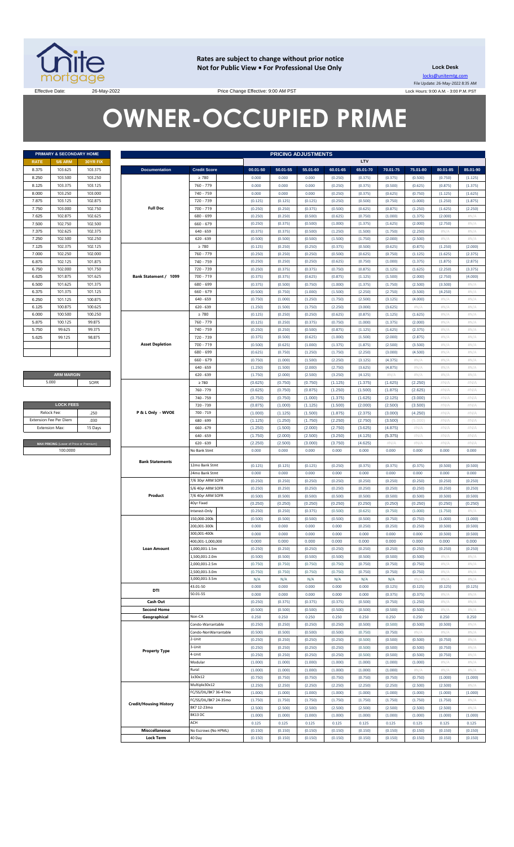

**Rates are subject to change without prior notice Not for Public View • For Professional Use Only Lock Desk**

locks@unitemtg.com File Update: 26-May-2022 8:35 AM Lock Hours: 9:00 A.M. - 3:00 P.M. PST

Effective Date: 26-May-2022 26-May-2022 Price Change Effective: 9:00 AM PST

# **OWNER-OCCUPIED PRIME**

| <b>PRIMARY &amp; SECONDARY HOME</b> |                |                 |  |  |  |  |
|-------------------------------------|----------------|-----------------|--|--|--|--|
| <b>RATE</b>                         | <b>5/6 ARM</b> | <b>30YR FIX</b> |  |  |  |  |
| 8.375                               | 103.625        | 103.375         |  |  |  |  |
| 8.250                               | 103.500        | 103.250         |  |  |  |  |
| 8.125                               | 103.375        | 103.125         |  |  |  |  |
| 8.000                               | 103.250        | 103.000         |  |  |  |  |
| 7.875                               | 103.125        | 102.875         |  |  |  |  |
| 7.750                               | 103.000        | 102.750         |  |  |  |  |
| 7.625                               | 102.875        | 102.625         |  |  |  |  |
| 7.500                               | 102.750        | 102.500         |  |  |  |  |
| 7.375                               | 102.625        | 102.375         |  |  |  |  |
| 7.250                               | 102.500        | 102.250         |  |  |  |  |
| 7.125                               | 102.375        | 102.125         |  |  |  |  |
| 7.000                               | 102.250        | 102.000         |  |  |  |  |
| 6.875                               | 102.125        | 101.875         |  |  |  |  |
| 6.750                               | 102.000        | 101.750         |  |  |  |  |
| 6.625                               | 101.875        | 101.625         |  |  |  |  |
| 6.500                               | 101.625        | 101.375         |  |  |  |  |
| 6.375                               | 101.375        | 101.125         |  |  |  |  |
| 6.250                               | 101.125        | 100.875         |  |  |  |  |
| 6.125                               | 100.875        | 100.625         |  |  |  |  |
| 6.000                               | 100.500        | 100.250         |  |  |  |  |
| 5.875                               | 100.125        | 99.875          |  |  |  |  |
| 5.750                               | 99.625         | 99.375          |  |  |  |  |
| 5.625                               | 99.125         | 98.875          |  |  |  |  |
|                                     |                |                 |  |  |  |  |
|                                     |                |                 |  |  |  |  |

#### **ARM MARGIN** 5.000

| <b>LOCK FEES</b>                        |         |  |  |  |
|-----------------------------------------|---------|--|--|--|
| Relock Fee:                             | 250     |  |  |  |
| <b>Extension Fee Per Diem</b>           | .030    |  |  |  |
| <b>Extension Max:</b>                   | 15 Days |  |  |  |
|                                         |         |  |  |  |
| MAX PRICING (Lower of Price or Premium) |         |  |  |  |
| 100,0000                                |         |  |  |  |

|             | <b>PRIMARY &amp; SECONDARY HOME</b>     |          |                               |                       |          |          | <b>PRICING ADJUSTMENTS</b> |          |          |          |            |          |          |
|-------------|-----------------------------------------|----------|-------------------------------|-----------------------|----------|----------|----------------------------|----------|----------|----------|------------|----------|----------|
| RATE        | <b>5/6 ARM</b>                          | 30YR FIX |                               |                       |          |          |                            |          | LTV      |          |            |          |          |
| 8.375       | 103.625                                 | 103.375  | <b>Documentation</b>          | <b>Credit Score</b>   | 00.01-50 | 50.01-55 | 55.01-60                   | 60.01-65 | 65.01-70 | 70.01-75 | 75.01-80   | 80.01-85 | 85.01-90 |
| 8.250       | 103.500                                 | 103.250  |                               | $\geq 780$            | 0.000    | 0.000    | 0.000                      | (0.250)  | (0.375)  | (0.375)  | (0.500)    | (0.750)  | (1.125)  |
| 8.125       | 103.375                                 | 103.125  |                               | 760 - 779             | 0.000    | 0.000    | 0.000                      | (0.250)  | (0.375)  | (0.500)  | (0.625)    | (0.875)  | (1.375)  |
| 8.000       | 103.250                                 | 103.000  |                               | 740 - 759             | 0.000    | 0.000    | 0.000                      | (0.250)  | (0.375)  | (0.625)  | (0.750)    | (1.125)  | (1.625)  |
| 7.875       | 103.125                                 | 102.875  |                               | 720 - 739             | (0.125)  | (0.125)  | (0.125)                    | (0.250)  | (0.500)  | (0.750)  | (1.000)    | (1.250)  | (1.875)  |
|             |                                         |          | <b>Full Doc</b>               |                       |          |          |                            |          |          |          |            |          |          |
| 7.750       | 103.000                                 | 102.750  |                               | 700 - 719             | (0.250)  | (0.250)  | (0.375)                    | (0.500)  | (0.625)  | (0.875)  | (1.250)    | (1.625)  | (2.250)  |
| 7.625       | 102.875                                 | 102.625  |                               | 680 - 699             | (0.250)  | (0.250)  | (0.500)                    | (0.625)  | (0.750)  | (1.000)  | (1.375)    | (2.000)  | H N/A    |
| 7.500       | 102.750                                 | 102.500  |                               | $660 - 679$           | (0.250)  | (0.375)  | (0.500)                    | (1.000)  | (1.375)  | (1.625)  | (2.000)    | (2.750)  | #N/A     |
| 7.375       | 102.625                                 | 102.375  |                               | $640 - 659$           | (0.375)  | (0.375)  | (0.500)                    | (1.250)  | (1.500)  | (1.750)  | (2.250)    | $\#N/A$  | H N/A    |
| 7.250       | 102.500                                 | 102.250  |                               | $620 - 639$           | (0.500)  | (0.500)  | (0.500)                    | (1.500)  | (1.750)  | (2.000)  | (2.500)    | $\#N/A$  | #N/A     |
| 7.125       | 102.375                                 | 102.125  |                               | $\geq 780$            | (0.125)  | (0.250)  | (0.250)                    | (0.375)  | (0.500)  | (0.625)  | (0.875)    | (1.250)  | (2.000)  |
| 7.000       | 102.250                                 | 102.000  |                               | 760 - 779             | (0.250)  | (0.250)  | (0.250)                    | (0.500)  | (0.625)  | (0.750)  | (1.125)    | (1.625)  | (2.375)  |
|             |                                         |          |                               |                       |          |          |                            |          |          |          |            |          |          |
| 6.875       | 102.125                                 | 101.875  |                               | 740 - 759             | (0.250)  | (0.250)  | (0.250)                    | (0.625)  | (0.750)  | (1.000)  | (1.375)    | (1.875)  | (2.875)  |
| 6.750       | 102.000                                 | 101.750  |                               | 720 - 739             | (0.250)  | (0.375)  | (0.375)                    | (0.750)  | (0.875)  | (1.125)  | (1.625)    | (2.250)  | (3.375)  |
| 6.625       | 101.875                                 | 101.625  | Bank Statement / 1099         | 700 - 719             | (0.375)  | (0.375)  | (0.625)                    | (0.875)  | (1.125)  | (1.500)  | (2.000)    | (2.750)  | (4.000)  |
| 6.500       | 101.625                                 | 101.375  |                               | 680 - 699             | (0.375)  | (0.500)  | (0.750)                    | (1.000)  | (1.375)  | (1.750)  | (2.500)    | (3.500)  | H N/A    |
| 6.375       | 101.375                                 | 101.125  |                               | $660 - 679$           | (0.500)  | (0.750)  | (1.000)                    | (1.500)  | (2.250)  | (2.750)  | (3.500)    | (4.250)  | H N/A    |
| 6.250       | 101.125                                 | 100.875  |                               | $640 - 659$           | (0.750)  | (1.000)  | (1.250)                    | (1.750)  | (2.500)  | (3.125)  | (4.000)    | $\#N/A$  | #N/A     |
| 6.125       | 100.875                                 | 100.625  |                               | $620 - 639$           | (1.250)  | (1.500)  | (1.750)                    | (2.250)  | (3.000)  | (3.625)  | #N/A       | $\#N/A$  | H N/A    |
|             |                                         |          |                               |                       |          |          |                            |          |          |          |            |          |          |
| 6.000       | 100.500                                 | 100.250  |                               | $\geq 780$            | (0.125)  | (0.250)  | (0.250)                    | (0.625)  | (0.875)  | (1.125)  | (1.625)    | $\#N/A$  | #N/A     |
| 5.875       | 100.125                                 | 99.875   |                               | 760 - 779             | (0.125)  | (0.250)  | (0.375)                    | (0.750)  | (1.000)  | (1.375)  | (2.000)    | $\#N/A$  | H N/A    |
| 5.750       | 99.625                                  | 99.375   |                               | 740 - 759             | (0.250)  | (0.250)  | (0.500)                    | (0.875)  | (1.125)  | (1.625)  | (2.375)    | $\#N/A$  | #N/A     |
| 5.625       | 99.125                                  | 98.875   |                               | 720 - 739             | (0.375)  | (0.500)  | (0.625)                    | (1.000)  | (1.500)  | (2.000)  | (2.875)    | $\#N/A$  | H N/A    |
|             |                                         |          | <b>Asset Depletion</b>        | 700 - 719             | (0.500)  | (0.625)  | (1.000)                    | (1.375)  | (1.875)  | (2.500)  | (3.500)    | $\#N/A$  | #N/A     |
|             |                                         |          |                               | 680 - 699             | (0.625)  | (0.750)  | (1.250)                    | (1.750)  | (2.250)  | (3.000)  | (4.500)    | $\#N/A$  | H N/A    |
|             |                                         |          |                               | $660 - 679$           | (0.750)  | (1.000)  | (1.500)                    | (2.250)  | (3.125)  | (4.375)  | #N/ $\rho$ | $\#N/A$  | #N/A     |
|             |                                         |          |                               |                       |          |          |                            |          |          |          |            |          |          |
|             |                                         |          |                               | $640 - 659$           | (1.250)  | (1.500)  | (2.000)                    | (2.750)  | (3.625)  | (4.875)  | #N/ $\rho$ | $\#N/A$  | H N/A    |
|             | <b>ARM MARGIN</b>                       |          |                               | $620 - 639$           | (1.750)  | (2.000)  | (2.500)                    | (3.250)  | (4.125)  | $\#N/A$  | #N/ $\rho$ | $\#N/A$  | #N/A     |
|             | 5.000                                   | SOFR     |                               | $\geq 780$            | (0.625)  | (0.750)  | (0.750)                    | (1.125)  | (1.375)  | (1.625)  | (2.250)    | #N/A     | #N/A     |
|             |                                         |          |                               | 760 - 779             | (0.625)  | (0.750)  | (0.875)                    | (1.250)  | (1.500)  | (1.875)  | (2.625)    | #N/A     | #N/A     |
|             |                                         |          |                               | 740 - 759             | (0.750)  | (0.750)  | (1.000)                    | (1.375)  | (1.625)  | (2.125)  | (3.000)    | #N/A     | #N/A     |
|             | <b>LOCK FEES</b>                        |          |                               | 720 - 739             | (0.875)  | (1.000)  | (1.125)                    | (1.500)  | (2.000)  | (2.500)  | (3.500)    | #N/A     | #N/A     |
| Relock Fee: |                                         | .250     | P & L Only - WVOE             | 700 - 719             | (1.000)  | (1.125)  | (1.500)                    | (1.875)  | (2.375)  | (3.000)  | (4.250)    | #N/A     | #N/A     |
|             | xtension Fee Per Diem                   | .030     |                               | 680 - 699             | (1.125)  | (1.250)  | (1.750)                    | (2.250)  | (2.750)  | (3.500)  | (5.000)    | #N/A     | #N/A     |
|             |                                         |          |                               |                       |          |          |                            |          |          |          |            |          |          |
|             | <b>Extension Max:</b>                   | 15 Days  |                               | $660 - 679$           | (1.250)  | (1.500)  | (2.000)                    | (2.750)  | (3.625)  | (4.875)  | #N/A       | #N/A     | #N/A     |
|             |                                         |          |                               | $640 - 659$           | (1.750)  | (2.000)  | (2.500)                    | (3.250)  | (4.125)  | (5.375)  | #N/A       | #N/A     | #N/A     |
|             | MAX PRICING (Lower of Price or Premium) |          |                               | $620 - 639$           | (2.250)  | (2.500)  | (3.000)                    | (3.750)  | (4.625)  | #N/A     | #N/A       | #N/A     | #N/A     |
|             | 100.0000                                |          |                               | No Bank Stmt          | 0.000    | 0.000    | 0.000                      | 0.000    | 0.000    | 0.000    | 0.000      | 0.000    | 0.000    |
|             |                                         |          |                               |                       |          |          |                            |          |          |          |            |          |          |
|             |                                         |          | <b>Bank Statements</b>        | 12mo Bank Stmt        | (0.125)  | (0.125)  | (0.125)                    | (0.250)  | (0.375)  | (0.375)  | (0.375)    | (0.500)  | (0.500)  |
|             |                                         |          |                               | 24mo Bank Stmt        | 0.000    | 0.000    | 0.000                      | 0.000    | 0.000    | 0.000    | 0.000      | 0.000    | 0.000    |
|             |                                         |          |                               | 7/6 30yr ARM SOFR     | (0.250)  | (0.250)  | (0.250)                    | (0.250)  | (0.250)  | (0.250)  | (0.250)    | (0.250)  | (0.250)  |
|             |                                         |          |                               |                       |          |          |                            |          |          |          |            |          |          |
|             |                                         |          |                               | 5/6 40yr ARM SOFR     | (0.250)  | (0.250)  | (0.250)                    | (0.250)  | (0.250)  | (0.250)  | (0.250)    | (0.250)  | (0.250)  |
|             |                                         |          | Product                       | 7/6 40yr ARM SOFR     | (0.500)  | (0.500)  | (0.500)                    | (0.500)  | (0.500)  | (0.500)  | (0.500)    | (0.500)  | (0.500)  |
|             |                                         |          |                               | 40yr Fixed            | (0.250)  | (0.250)  | (0.250)                    | (0.250)  | (0.250)  | (0.250)  | (0.250)    | (0.250)  | (0.250)  |
|             |                                         |          |                               | Interest-Only         | (0.250)  | (0.250)  | (0.375)                    | (0.500)  | (0.625)  | (0.750)  | (1.000)    | (1.750)  | H N/A    |
|             |                                         |          |                               | 150.000-200k          | (0.500)  | (0.500)  | (0.500)                    | (0.500)  | (0.500)  | (0.750)  | (0.750)    | (1.000)  | (1.000)  |
|             |                                         |          |                               | 200,001-300k          | 0.000    | 0.000    | 0.000                      | 0.000    | (0.250)  | (0.250)  | (0.250)    | (0.500)  | (0.500)  |
|             |                                         |          |                               | 300,001-400k          | 0.000    | 0.000    | 0.000                      | 0.000    | 0.000    | 0.000    | 0.000      | (0.500)  | (0.500)  |
|             |                                         |          |                               | 400,001-1,000,000     | 0.000    | 0.000    | 0.000                      | 0.000    | 0.000    | 0.000    | 0.000      | 0.000    | 0.000    |
|             |                                         |          | <b>Loan Amount</b>            | 1.000.001-1.5m        |          |          |                            |          |          |          |            |          |          |
|             |                                         |          |                               |                       | (0.250)  | (0.250)  | (0.250)                    | (0.250)  | (0.250)  | (0.250)  | (0.250)    | (0.250)  | (0.250)  |
|             |                                         |          |                               | 1,500,001-2.0m        | (0.500)  | (0.500)  | (0.500)                    | (0.500)  | (0.500)  | (0.500)  | (0.500)    | $\#N/A$  | #N/A     |
|             |                                         |          |                               | 2,000,001-2.5m        | (0.750)  | (0.750)  | (0.750)                    | (0.750)  | (0.750)  | (0.750)  | (0.750)    | $\#N/A$  | #N/A     |
|             |                                         |          |                               | 2.500.001-3.0m        | (0.750)  | (0.750)  | (0.750)                    | (0.750)  | (0.750)  | (0.750)  | (0.750)    | $\#N/A$  | #N/A     |
|             |                                         |          |                               | 3,000,001-3.5m        | N/A      | N/A      | N/A                        | N/A      | N/A      | N/A      | #N/A       | $\#N/A$  | H N/A    |
|             |                                         |          |                               | 43.01-50              | 0.000    | 0.000    | 0.000                      | 0.000    | 0.000    | (0.125)  | (0.125)    | (0.125)  | (0.125)  |
|             |                                         |          | DTI                           | 50.01-55              | 0.000    | 0.000    | 0.000                      | 0.000    | 0.000    | (0.375)  | (0.375)    | $\#N/A$  | H N/A    |
|             |                                         |          | Cash Out                      |                       | (0.250)  | (0.375)  | (0.375)                    | (0.375)  | (0.500)  | (0.750)  | (1.250)    | $\#N/A$  | #N/A     |
|             |                                         |          | <b>Second Home</b>            |                       | (0.500)  | (0.500)  | (0.500)                    | (0.500)  | (0.500)  | (0.500)  | (0.500)    | $\#N/A$  | H N/A    |
|             |                                         |          |                               | Non-CA                |          | 0.250    |                            |          |          |          |            |          |          |
|             |                                         |          | Geographical                  |                       | 0.250    |          | 0.250                      | 0.250    | 0.250    | 0.250    | 0.250      | 0.250    | 0.250    |
|             |                                         |          |                               | Condo-Warrantable     | (0.250)  | (0.250)  | (0.250)                    | (0.250)  | (0.500)  | (0.500)  | (0.500)    | (0.500)  | #N/A     |
|             |                                         |          |                               | Condo-NonWarrantable  | (0.500)  | (0.500)  | (0.500)                    | (0.500)  | (0.750)  | (0.750)  | #N/A       | $\#N/A$  | #N/A     |
|             |                                         |          |                               | 2-Unit                | (0.250)  | (0.250)  | (0.250)                    | (0.250)  | (0.500)  | (0.500)  | (0.500)    | (0.750)  | #N/A     |
|             |                                         |          |                               | 3-Unit                | (0.250)  | (0.250)  | (0.250)                    | (0.250)  | (0.500)  | (0.500)  | (0.500)    | (0.750)  | $\#N/A$  |
|             |                                         |          | <b>Property Type</b>          | 4-Unit                | (0.250)  | (0.250)  | (0.250)                    | (0.250)  | (0.500)  | (0.500)  | (0.500)    | (0.750)  | H N/A    |
|             |                                         |          |                               | Modular               | (1.000)  | (1.000)  | (1.000)                    | (1.000)  | (1.000)  | (1.000)  | (1.000)    | $\#N/A$  | #N/A     |
|             |                                         |          |                               | Rural                 | (1.000)  | (1.000)  | (1.000)                    | (1.000)  | (1.000)  | (1.000)  | #N/A       | $\#N/A$  | H N/A    |
|             |                                         |          |                               |                       |          |          |                            |          |          |          |            |          |          |
|             |                                         |          |                               | 1x30x12               | (0.750)  | (0.750)  | (0.750)                    | (0.750)  | (0.750)  | (0.750)  | (0.750)    | (1.000)  | (1.000)  |
|             |                                         |          |                               | Multiple30x12         | (2.250)  | (2.250)  | (2.250)                    | (2.250)  | (2.250)  | (2.250)  | (2.500)    | (2.500)  | #N/A     |
|             |                                         |          |                               | FC/SS/DIL/BK7 36-47mo | (1.000)  | (1.000)  | (1.000)                    | (1.000)  | (1.000)  | (1.000)  | (1.000)    | (1.000)  | (1.000)  |
|             |                                         |          | <b>Credit/Housing History</b> | FC/SS/DIL/BK7 24-35mo | (1.750)  | (1.750)  | (1.750)                    | (1.750)  | (1.750)  | (1.750)  | (1.750)    | (1.750)  | #N/A     |
|             |                                         |          |                               | BK7 12-23mo           | (2.500)  | (2.500)  | (2.500)                    | (2.500)  | (2.500)  | (2.500)  | (2.500)    | (2.500)  | #N/A     |
|             |                                         |          |                               | BK13 DC               | (1.000)  | (1.000)  | (1.000)                    | (1.000)  | (1.000)  | (1.000)  | (1.000)    | (1.000)  | (1.000)  |
|             |                                         |          |                               | ACH                   | 0.125    | 0.125    | 0.125                      | 0.125    | 0.125    | 0.125    | 0.125      | 0.125    | 0.125    |
|             |                                         |          | <b>Misccellaneous</b>         | No Escrows (No HPML)  | (0.150)  | (0.150)  | (0.150)                    | (0.150)  | (0.150)  | (0.150)  | (0.150)    | (0.150)  | (0.150)  |
|             |                                         |          |                               |                       |          |          |                            |          |          |          |            |          |          |
|             |                                         |          | <b>Lock Term</b>              | 40 Day                | (0.150)  | (0.150)  | (0.150)                    | (0.150)  | (0.150)  | (0.150)  | (0.150)    | (0.150)  | (0.150)  |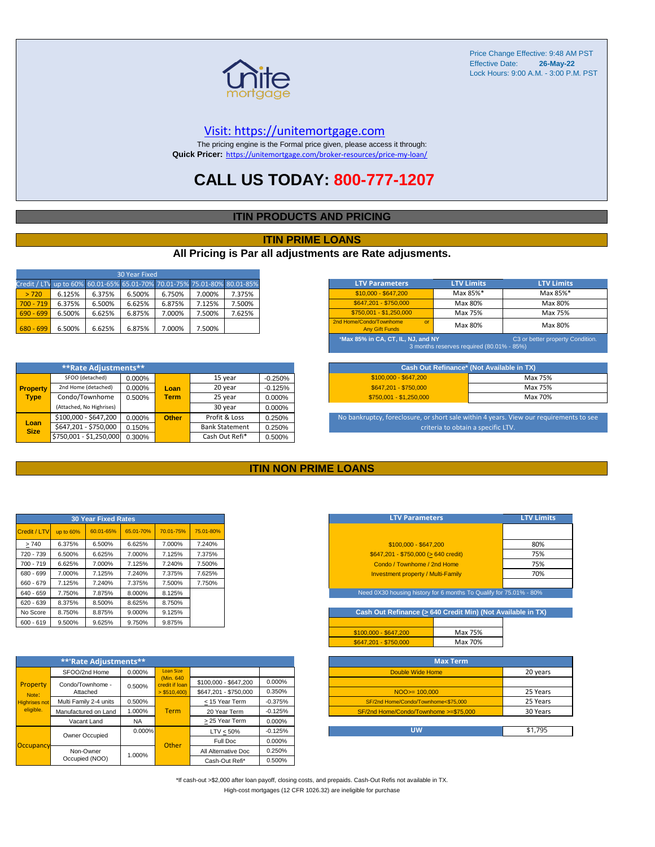

#### [V](https://unitemortgage.com/)isit: https://unitemortgage.com

The pricing engine is the Formal price given, please access it through: **Quick Pricer:** [https://un](https://unitemortgage.com/broker-resources/price-my-loan/)itemortgage.com/broker-resources/price-my-loan/

### **CALL US TODAY: 800-777-1207**

#### **ITIN PRODUCTS AND PRICING**

#### **ITIN PRIME LOANS**

#### **All Pricing is Par all adjustments are Rate adjusments.**

| 30 Year Fixed                                                            |        |        |        |        |        |        |  |
|--------------------------------------------------------------------------|--------|--------|--------|--------|--------|--------|--|
| Credit / LTV up to 60% 60.01-65% 65.01-70% 70.01-75% 75.01-80% 80.01-85% |        |        |        |        |        |        |  |
| > 720                                                                    | 6.125% | 6.375% | 6.500% | 6.750% | 7.000% | 7.375% |  |
| $700 - 719$                                                              | 6.375% | 6.500% | 6.625% | 6.875% | 7.125% | 7.500% |  |
| $690 - 699$                                                              | 6.500% | 6.625% | 6.875% | 7.000% | 7.500% | 7.625% |  |
| $680 - 699$                                                              | 6.500% | 6.625% | 6.875% | 7.000% | 7.500% |        |  |

|                     | SFOO (detached)          | 0.000% |              | 15 year               | $-0.250%$ |
|---------------------|--------------------------|--------|--------------|-----------------------|-----------|
| <b>Property</b>     | 2nd Home (detached)      | 0.000% | Loan         | 20 year               | $-0.125%$ |
| <b>Type</b>         | Condo/Townhome           | 0.500% | <b>Term</b>  | 25 year               | 0.000%    |
|                     | (Attached, No Highrises) |        |              | 30 year               | 0.000%    |
|                     | \$100,000 - \$647,200    | 0.000% | <b>Other</b> | Profit & Loss         | 0.250%    |
| Loan<br><b>Size</b> | \$647,201 - \$750,000    | 0.150% |              | <b>Bank Statement</b> | 0.250%    |
|                     | \$750,001 - \$1,250,000  | 0.300% |              | Cash Out Refi*        | 0.500%    |

| <b>LTV Parameters</b>                                                                                               | <b>LTV Limits</b> | <b>LTV Limits</b> |  |  |  |  |
|---------------------------------------------------------------------------------------------------------------------|-------------------|-------------------|--|--|--|--|
| \$10,000 - \$647,200                                                                                                | Max 85%*          | Max 85%*          |  |  |  |  |
| \$647.201 - \$750.000                                                                                               | Max 80%           | Max 80%           |  |  |  |  |
| \$750.001 - \$1.250.000                                                                                             | Max 75%           | Max 75%           |  |  |  |  |
| 2nd Home/Condo/Townhome<br>$\alpha$ <sup>r</sup><br><b>Any Gift Funds</b>                                           | Max 80%           | Max 80%           |  |  |  |  |
| *Max 85% in CA, CT, IL, NJ, and NY<br>C3 or better property Condition.<br>3 months reserves required (80.01% - 85%) |                   |                   |  |  |  |  |

| Cash Out Refinance* (Not Available in TX) |         |  |  |  |  |
|-------------------------------------------|---------|--|--|--|--|
| \$100,000 - \$647,200                     | Max 75% |  |  |  |  |
| \$647.201 - \$750.000                     | Max 75% |  |  |  |  |
| $$750.001 - $1.250.000$                   | Max 70% |  |  |  |  |

No bankruptcy, foreclosure, or short sale within 4 years. View our requirements to see criteria to obtain a specific LTV.

#### **ITIN NON PRIME LOANS**

| <b>30 Year Fixed Rates</b> |           |           |           |           |           |  |  |  |  |  |  |
|----------------------------|-----------|-----------|-----------|-----------|-----------|--|--|--|--|--|--|
| Credit / LTV               | up to 60% | 60.01-65% | 65.01-70% | 70.01-75% | 75.01-80% |  |  |  |  |  |  |
| >740                       | 6.375%    | 6.500%    | 6.625%    | 7.000%    | 7.240%    |  |  |  |  |  |  |
| 720 - 739                  | 6.500%    | 6.625%    | 7.000%    | 7.125%    | 7.375%    |  |  |  |  |  |  |
| 700 - 719                  | 6.625%    | 7.000%    | 7.125%    | 7.240%    | 7.500%    |  |  |  |  |  |  |
| 680 - 699                  | 7.000%    | 7.125%    | 7.240%    | 7.375%    | 7.625%    |  |  |  |  |  |  |
| 660 - 679                  | 7.125%    | 7.240%    | 7.375%    | 7.500%    | 7.750%    |  |  |  |  |  |  |
| 640 - 659                  | 7.750%    | 7.875%    | 8.000%    | 8.125%    |           |  |  |  |  |  |  |
| 620 - 639                  | 8.375%    | 8.500%    | 8.625%    | 8.750%    |           |  |  |  |  |  |  |
| No Score                   | 8.750%    | 8.875%    | 9.000%    | 9.125%    |           |  |  |  |  |  |  |
| $600 - 619$                | 9.500%    | 9.625%    | 9.750%    | 9.875%    |           |  |  |  |  |  |  |

|                                   | **'Rate Adjustments**  |           |                              |                       |           |
|-----------------------------------|------------------------|-----------|------------------------------|-----------------------|-----------|
|                                   | SFOO/2nd Home          | 0.000%    | <b>Loan Size</b>             |                       |           |
| Property                          | Condo/Townhome -       | 0.500%    | (Min. 640)<br>credit if Ioan | \$100,000 - \$647,200 | 0.000%    |
| Note:                             | Attached               |           | $>$ \$510,400)               | \$647.201 - \$750.000 | 0.350%    |
| <b>Highrises not</b><br>eligible. | Multi Family 2-4 units | 0.500%    |                              | < 15 Year Term        | $-0.375%$ |
|                                   | Manufactured on Land   | 1.000%    | <b>Term</b>                  | 20 Year Term          | $-0.125%$ |
|                                   | Vacant Land            | <b>NA</b> |                              | > 25 Year Term        | 0.000%    |
|                                   | Owner Occupied         | $0.000\%$ |                              | $LTV < 50\%$          | $-0.125%$ |
| Occupancy                         |                        |           | Other                        | Full Doc              | 0.000%    |
|                                   | Non-Owner              | 1.000%    |                              | All Alternative Doc   | 0.250%    |
|                                   | Occupied (NOO)         |           |                              | Cash-Out Refi*        | 0.500%    |

| <b>LTV Parameters</b>                        | <b>LTV Limits</b> |
|----------------------------------------------|-------------------|
|                                              |                   |
| \$100.000 - \$647.200                        | 80%               |
| $$647,201 - $750,000 (> 640 \text{ credit})$ | 75%               |
| Condo / Townhome / 2nd Home                  | 75%               |
| <b>Investment property / Multi-Family</b>    | 70%               |
|                                              |                   |

eed 0X30 housing history for 6 months To Qualify for 75.01% - 80

Cash Out Refinance ( $\geq$  640 Credit Min) (Not Available in TX)

| $$100.000 - $647.200$ | Max 75% |
|-----------------------|---------|
| \$647.201 - \$750.000 | Max 70% |
|                       |         |
|                       |         |

| <b>Max Term</b>                       |          |
|---------------------------------------|----------|
| Double Wide Home                      | 20 years |
|                                       |          |
| $NOO \ge 100,000$                     | 25 Years |
| SF/2nd Home/Condo/Townhome<\$75,000   | 25 Years |
| SF/2nd Home/Condo/Townhome >=\$75,000 | 30 Years |
|                                       |          |
| UW                                    | \$1.795  |

\*If cash-out >\$2,000 after loan payoff, closing costs, and prepaids. Cash-Out Refis not available in TX. High-cost mortgages (12 CFR 1026.32) are ineligible for purchase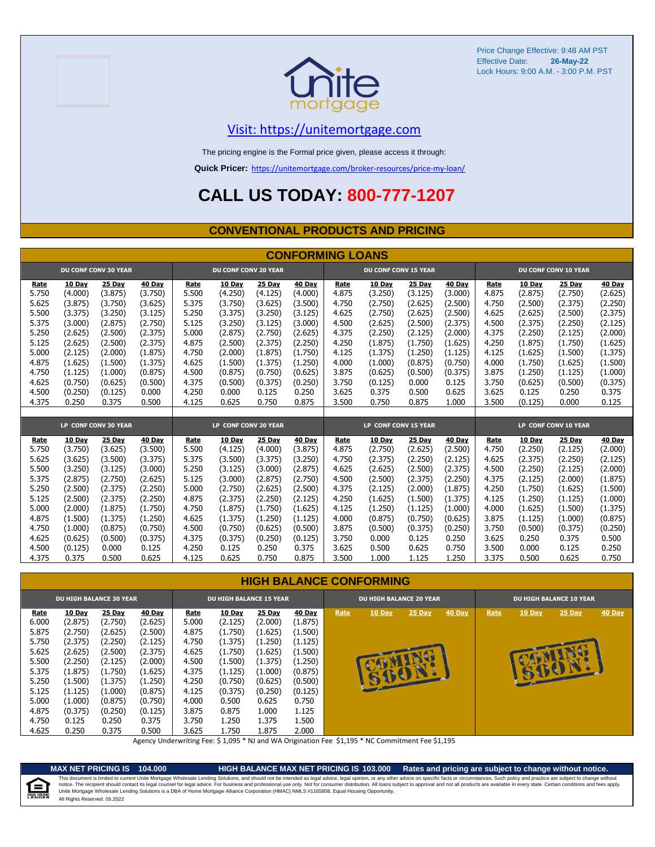



### [V](https://unitemortgage.com/)isit: https://unitemortgage.com

The pricing engine is the Formal price given, please access it through:

**Quick Pricer:** [https://un](https://unitemortgage.com/broker-resources/price-my-loan/)itemortgage.com/broker-resources/price-my-loan/

## **CALL US TODAY: 800-777-1207**

#### **CONVENTIONAL PRODUCTS AND PRICING**

|       | <b>CONFORMING LOANS</b> |                             |         |       |                             |         |         |                             |         |         |         |                      |                             |         |         |  |
|-------|-------------------------|-----------------------------|---------|-------|-----------------------------|---------|---------|-----------------------------|---------|---------|---------|----------------------|-----------------------------|---------|---------|--|
|       |                         | <b>DU CONF CONV 30 YEAR</b> |         |       | <b>DU CONF CONV 20 YEAR</b> |         |         | <b>DU CONF CONV 15 YEAR</b> |         |         |         |                      | <b>DU CONF CONV 10 YEAR</b> |         |         |  |
| Rate  | 10 Day                  | 25 Day                      | 40 Day  | Rate  | 10 Day                      | 25 Day  | 40 Day  | Rate                        | 10 Day  | 25 Day  | 40 Day  | Rate                 | 10 Day                      | 25 Day  | 40 Day  |  |
| 5.750 | (4.000)                 | (3.875)                     | (3.750) | 5.500 | (4.250)                     | (4.125) | (4.000) | 4.875                       | (3.250) | (3.125) | (3,000) | 4.875                | (2.875)                     | (2.750) | (2.625) |  |
| 5.625 | (3.875)                 | (3.750)                     | (3.625) | 5.375 | (3.750)                     | (3.625) | (3.500) | 4.750                       | (2.750) | (2.625) | (2.500) | 4.750                | (2.500)                     | (2.375) | (2.250) |  |
| 5.500 | (3.375)                 | (3.250)                     | (3.125) | 5.250 | (3.375)                     | (3.250) | (3.125) | 4.625                       | (2.750) | (2.625) | (2.500) | 4.625                | (2.625)                     | (2.500) | (2.375) |  |
| 5.375 | (3.000)                 | (2.875)                     | (2.750) | 5.125 | (3.250)                     | (3.125) | (3.000) | 4.500                       | (2.625) | (2.500) | (2.375) | 4.500                | (2.375)                     | (2.250) | (2.125) |  |
| 5.250 | (2.625)                 | (2.500)                     | (2.375) | 5.000 | (2.875)                     | (2.750) | (2.625) | 4.375                       | (2.250) | (2.125) | (2.000) | 4.375                | (2.250)                     | (2.125) | (2.000) |  |
| 5.125 | (2.625)                 | (2.500)                     | (2.375) | 4.875 | (2.500)                     | (2.375) | (2.250) | 4.250                       | (1.875) | (1.750) | (1.625) | 4.250                | (1.875)                     | (1.750) | (1.625) |  |
| 5.000 | (2.125)                 | (2.000)                     | (1.875) | 4.750 | (2.000)                     | (1.875) | (1.750) | 4.125                       | (1.375) | (1.250) | (1.125) | 4.125                | (1.625)                     | (1.500) | (1.375) |  |
| 4.875 | (1.625)                 | (1.500)                     | (1.375) | 4.625 | (1.500)                     | (1.375) | (1.250) | 4.000                       | (1.000) | (0.875) | (0.750) | 4.000                | (1.750)                     | (1.625) | (1.500) |  |
| 4.750 | (1.125)                 | (1.000)                     | (0.875) | 4.500 | (0.875)                     | (0.750) | (0.625) | 3.875                       | (0.625) | (0.500) | (0.375) | 3.875                | (1.250)                     | (1.125) | (1.000) |  |
| 4.625 | (0.750)                 | (0.625)                     | (0.500) | 4.375 | (0.500)                     | (0.375) | (0.250) | 3.750                       | (0.125) | 0.000   | 0.125   | 3.750                | (0.625)                     | (0.500) | (0.375) |  |
| 4.500 | (0.250)                 | (0.125)                     | 0.000   | 4.250 | 0.000                       | 0.125   | 0.250   | 3.625                       | 0.375   | 0.500   | 0.625   | 3.625                | 0.125                       | 0.250   | 0.375   |  |
| 4.375 | 0.250                   | 0.375                       | 0.500   | 4.125 | 0.625                       | 0.750   | 0.875   | 3.500                       | 0.750   | 0.875   | 1.000   | 3.500                | (0.125)                     | 0.000   | 0.125   |  |
|       |                         |                             |         |       |                             |         |         |                             |         |         |         |                      |                             |         |         |  |
|       |                         | LP CONF CONV 30 YEAR        |         |       | LP CONF CONV 20 YEAR        |         |         | LP CONF CONV 15 YEAR        |         |         |         | LP CONF CONV 10 YEAR |                             |         |         |  |
| Rate  | 10 Dav                  | 25 Dav                      | 40 Dav  | Rate  | 10 Dav                      | 25 Dav  | 40 Dav  | Rate                        | 10 Dav  | 25 Dav  | 40 Dav  | Rate                 | 10 Dav                      | 25 Dav  | 40 Dav  |  |
| 5.750 | (3.750)                 | (3.625)                     | (3.500) | 5.500 | (4.125)                     | (4.000) | (3.875) | 4.875                       | (2.750) | (2.625) | (2.500) | 4.750                | (2.250)                     | (2.125) | (2.000) |  |
| 5.625 | (3.625)                 | (3.500)                     | (3.375) | 5.375 | (3.500)                     | (3.375) | (3.250) | 4.750                       | (2.375) | (2.250) | (2.125) | 4.625                | (2.375)                     | (2.250) | (2.125) |  |
| 5.500 | (3.250)                 | (3.125)                     | (3.000) | 5.250 | (3.125)                     | (3.000) | (2.875) | 4.625                       | (2.625) | (2.500) | (2.375) | 4.500                | (2.250)                     | (2.125) | (2.000) |  |
| 5.375 | (2.875)                 | (2.750)                     | (2.625) | 5.125 | (3.000)                     | (2.875) | (2.750) | 4.500                       | (2.500) | (2.375) | (2.250) | 4.375                | (2.125)                     | (2.000) | (1.875) |  |
| 5.250 | (2.500)                 | (2.375)                     | (2.250) | 5.000 | (2.750)                     | (2.625) | (2.500) | 4.375                       | (2.125) | (2.000) | (1.875) | 4.250                | (1.750)                     | (1.625) | (1.500) |  |
| 5.125 | (2.500)                 | (2.375)                     | (2.250) | 4.875 | (2.375)                     | (2.250) | (2.125) | 4.250                       | (1.625) | (1.500) | (1.375) | 4.125                | (1.250)                     | (1.125) | (1.000) |  |
| 5.000 | (2.000)                 | (1.875)                     | (1.750) | 4.750 | (1.875)                     | (1.750) | (1.625) | 4.125                       | (1.250) | (1.125) | (1.000) | 4.000                | (1.625)                     | (1.500) | (1.375) |  |
| 4.875 | (1.500)                 | (1.375)                     | (1.250) | 4.625 | (1.375)                     | (1.250) | (1.125) | 4.000                       | (0.875) | (0.750) | (0.625) | 3.875                | (1.125)                     | (1.000) | (0.875) |  |
| 4.750 | (1.000)                 | (0.875)                     | (0.750) | 4.500 | (0.750)                     | (0.625) | (0.500) | 3.875                       | (0.500) | (0.375) | (0.250) | 3.750                | (0.500)                     | (0.375) | (0.250) |  |
| 4.625 | (0.625)                 | (0.500)                     | (0.375) | 4.375 | (0.375)                     | (0.250) | (0.125) | 3.750                       | 0.000   | 0.125   | 0.250   | 3.625                | 0.250                       | 0.375   | 0.500   |  |
| 4.500 | (0.125)                 | 0.000                       | 0.125   | 4.250 | 0.125                       | 0.250   | 0.375   | 3.625                       | 0.500   | 0.625   | 0.750   | 3.500                | 0.000                       | 0.125   | 0.250   |  |
| 4.375 | 0.375                   | 0.500                       | 0.625   | 4.125 | 0.625                       | 0.750   | 0.875   | 3.500                       | 1.000   | 1.125   | 1.250   | 3.375                | 0.500                       | 0.625   | 0.750   |  |

#### **HIGH BALANCE CONFORMING**

|             | <b>DU HIGH BALANCE 30 YEAR</b> |               |               | <b>DU HIGH BALANCE 15 YEAR</b> |         |         |         | <b>DU HIGH BALANCE 20 YEAR</b> |               |               | <b>DU HIGH BALANCE 10 YEAR</b> |      |               |          |               |
|-------------|--------------------------------|---------------|---------------|--------------------------------|---------|---------|---------|--------------------------------|---------------|---------------|--------------------------------|------|---------------|----------|---------------|
| <b>Rate</b> | 10 Day                         | <b>25 Day</b> | <b>40 Day</b> | <b>Rate</b>                    | 10 Day  | 25 Day  | 40 Day  | Rate                           | <b>10 Day</b> | <b>25 Day</b> | 40 Day                         | Rate | <b>10 Day</b> | $25$ Day | <b>40 Day</b> |
| 6.000       | (2.875)                        | (2.750)       | (2.625)       | 5.000                          | (2.125) | (2.000) | (1.875) |                                |               |               |                                |      |               |          |               |
| 5.875       | (2.750)                        | (2.625)       | (2.500)       | 4.875                          | (1.750) | (1.625) | (1.500) |                                |               |               |                                |      |               |          |               |
| 5.750       | (2.375)                        | (2.250)       | (2.125)       | 4.750                          | (1.375) | (1.250) | (1.125) |                                |               |               |                                |      |               |          |               |
| 5.625       | (2.625)                        | (2.500)       | (2.375)       | 4.625                          | (1.750) | (1.625) | (1.500) |                                |               |               |                                |      |               |          |               |
| 5.500       | (2.250)                        | (2.125)       | (2.000)       | 4.500                          | (1.500) | (1.375) | (1.250) |                                |               |               |                                |      |               |          |               |
| 5.375       | (1.875)                        | (1.750)       | (1.625)       | 4.375                          | (1.125) | (1.000) | (0.875) |                                |               | NU.           |                                |      |               | E        |               |
| 5.250       | (1.500)                        | (1.375)       | (1.250)       | 4.250                          | (0.750) | (0.625) | (0.500) |                                |               |               |                                |      |               |          |               |
| 5.125       | (1.125)                        | (1.000)       | (0.875)       | 4.125                          | (0.375) | (0.250) | (0.125) |                                |               |               |                                |      |               |          |               |
| 5.000       | (1.000)                        | (0.875)       | (0.750)       | 4.000                          | 0.500   | 0.625   | 0.750   |                                |               |               |                                |      |               |          |               |
| 4.875       | (0.375)                        | (0.250)       | (0.125)       | 3.875                          | 0.875   | 1.000   | 1.125   |                                |               |               |                                |      |               |          |               |
| 4.750       | 0.125                          | 0.250         | 0.375         | 3.750                          | 250     | 1.375   | 1.500   |                                |               |               |                                |      |               |          |               |
| 4.625       | 0.250                          | 0.375         | 0.500         | 3.625                          | 1.750   | 1.875   | 2.000   |                                |               |               |                                |      |               |          |               |

Agency Underwriting Fee: \$ 1,095 \* NJ and WA Origination Fee \$1,195 \* NC Commitment Fee \$1,195



**MAX NET PRICING IS 104.000 HIGH BALANCE MAX NET PRICING IS 103.000 Rates and pricing are subject to change without notice.** All Rights Reserved. 05.2022 This document is limited to current Unite Mortgage Wholesale Lending Solutions, and should not be intended as legal advice, legal opinion, or any other advice on specific facts or circumstances. Such policy and practice ar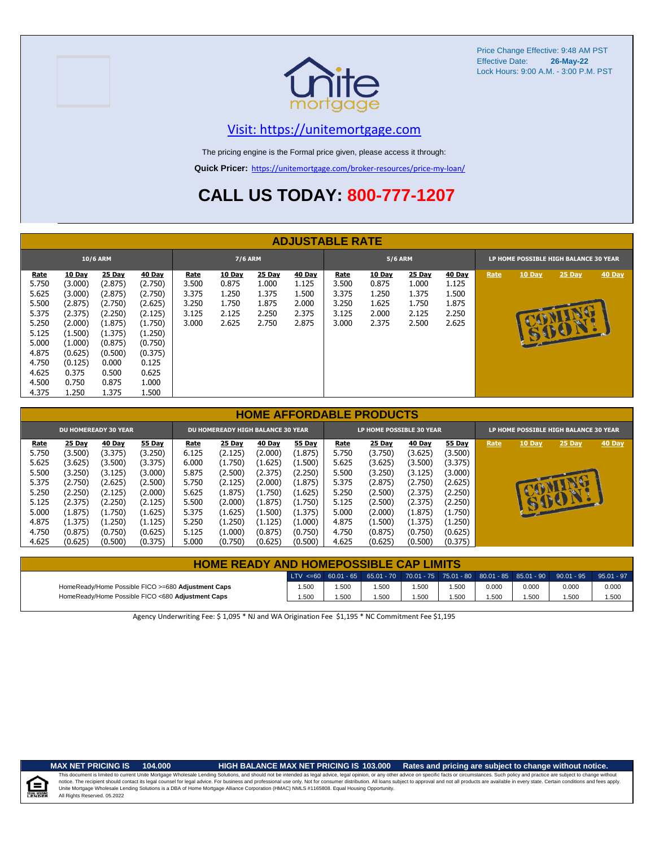



### [V](https://unitemortgage.com/)isit: https://unitemortgage.com

The pricing engine is the Formal price given, please access it through:

**Quick Pricer:** [https://un](https://unitemortgage.com/broker-resources/price-my-loan/)itemortgage.com/broker-resources/price-my-loan/

## **CALL US TODAY: 800-777-1207**

|                                                                                     | <b>ADJUSTABLE RATE</b>                                                                                |                                                                                                       |                                                                                                       |                                                          |                                                            |                                                            |                                                            |                                                          |                                                            |                                                            |                                                            |      |          |                          |               |
|-------------------------------------------------------------------------------------|-------------------------------------------------------------------------------------------------------|-------------------------------------------------------------------------------------------------------|-------------------------------------------------------------------------------------------------------|----------------------------------------------------------|------------------------------------------------------------|------------------------------------------------------------|------------------------------------------------------------|----------------------------------------------------------|------------------------------------------------------------|------------------------------------------------------------|------------------------------------------------------------|------|----------|--------------------------|---------------|
| 10/6 ARM                                                                            |                                                                                                       |                                                                                                       |                                                                                                       | <b>7/6 ARM</b>                                           |                                                            |                                                            | <b>5/6 ARM</b>                                             |                                                          |                                                            |                                                            | LP HOME POSSIBLE HIGH BALANCE 30 YEAR                      |      |          |                          |               |
| <b>Rate</b><br>5.750<br>5.625<br>5.500<br>5.375<br>5.250<br>5.125<br>5.000<br>4.875 | <b>10 Day</b><br>(3.000)<br>(3.000)<br>(2.875)<br>(2.375)<br>(2.000)<br>(1.500)<br>(1.000)<br>(0.625) | <u>25 Day</u><br>(2.875)<br>(2.875)<br>(2.750)<br>(2.250)<br>(1.875)<br>(1.375)<br>(0.875)<br>(0.500) | <b>40 Day</b><br>(2.750)<br>(2.750)<br>(2.625)<br>(2.125)<br>(1.750)<br>(1.250)<br>(0.750)<br>(0.375) | <b>Rate</b><br>3.500<br>3.375<br>3.250<br>3.125<br>3.000 | <b>10 Day</b><br>0.875<br>1.250<br>1.750<br>2.125<br>2.625 | <b>25 Day</b><br>1.000<br>1.375<br>1.875<br>2.250<br>2.750 | <b>40 Day</b><br>1.125<br>1.500<br>2.000<br>2.375<br>2.875 | <b>Rate</b><br>3.500<br>3.375<br>3.250<br>3.125<br>3.000 | <b>10 Day</b><br>0.875<br>1.250<br>1.625<br>2.000<br>2.375 | <b>25 Day</b><br>1.000<br>1.375<br>1.750<br>2.125<br>2.500 | <b>40 Day</b><br>1.125<br>1.500<br>1.875<br>2.250<br>2.625 | Rate | $10$ Day | $25$ Day<br><b>READY</b> | <b>40 Day</b> |
| 4.750<br>4.625<br>4.500<br>4.375                                                    | (0.125)<br>0.375<br>0.750<br>1.250                                                                    | 0.000<br>0.500<br>0.875<br>1.375                                                                      | 0.125<br>0.625<br>1.000<br>1.500                                                                      |                                                          |                                                            |                                                            |                                                            |                                                          |                                                            |                                                            |                                                            |      |          |                          |               |

|                             | <b>HOME AFFORDABLE PRODUCTS</b> |         |               |                                          |               |               |               |                          |               |               |         |                                              |        |        |               |  |
|-----------------------------|---------------------------------|---------|---------------|------------------------------------------|---------------|---------------|---------------|--------------------------|---------------|---------------|---------|----------------------------------------------|--------|--------|---------------|--|
| <b>DU HOMEREADY 30 YEAR</b> |                                 |         |               | <b>DU HOMEREADY HIGH BALANCE 30 YEAR</b> |               |               |               | LP HOME POSSIBLE 30 YEAR |               |               |         | <b>LP HOME POSSIBLE HIGH BALANCE 30 YEAR</b> |        |        |               |  |
| Rate                        | <b>25 Day</b>                   | 40 Day  | <b>55 Day</b> | Rate                                     | <b>25 Day</b> | <b>40 Day</b> | <b>55 Day</b> | Rate                     | <b>25 Day</b> | <b>40 Day</b> | 55 Day  | Rate                                         | 10 Day | 25 Day | <b>40 Day</b> |  |
| 5.750                       | (3.500)                         | (3.375) | (3.250)       | 6.125                                    | (2.125)       | (2.000)       | (1.875)       | 5.750                    | (3.750)       | (3.625)       | (3.500) |                                              |        |        |               |  |
| 5.625                       | (3.625)                         | (3.500) | (3.375)       | 6.000                                    | (1.750)       | (1.625)       | (1.500)       | 5.625                    | (3.625)       | (3.500)       | (3.375) |                                              |        |        |               |  |
| 5.500                       | (3.250)                         | (3.125) | (3.000)       | 5.875                                    | (2.500)       | (2.375)       | (2.250)       | 5.500                    | (3.250)       | (3.125)       | (3.000) |                                              |        |        |               |  |
| 5.375                       | (2.750)                         | (2.625) | (2.500)       | 5.750                                    | (2.125)       | (2.000)       | (1.875)       | 5.375                    | (2.875)       | (2.750)       | (2.625) |                                              |        |        |               |  |
| 5.250                       | (2.250)                         | (2.125) | (2.000)       | 5.625                                    | (1.875)       | (1.750)       | (1.625)       | 5.250                    | (2.500)       | (2.375)       | (2.250) |                                              |        |        |               |  |
| 5.125                       | (2.375)                         | (2.250) | (2.125)       | 5.500                                    | (2.000)       | (1.875)       | (1.750)       | 5.125                    | (2.500)       | (2.375)       | (2.250) |                                              |        | 00     |               |  |
| 5.000                       | (1.875)                         | (1.750) | (1.625)       | 5.375                                    | (1.625)       | (1.500)       | (1.375)       | 5.000                    | (2.000)       | (1.875)       | (1.750) |                                              |        |        |               |  |
| 4.875                       | (1.375)                         | (1.250) | (1.125)       | 5.250                                    | (1.250)       | (1.125)       | (1.000)       | 4.875                    | (1.500)       | (1.375)       | (1.250) |                                              |        |        |               |  |
| 4.750                       | (0.875)                         | (0.750) | (0.625)       | 5.125                                    | (1.000)       | (0.875)       | (0.750)       | 4.750                    | (0.875)       | (0.750)       | (0.625) |                                              |        |        |               |  |
| 4.625                       | (0.625)                         | (0.500) | (0.375)       | 5.000                                    | (0.750)       | (0.625)       | (0.500)       | 4.625                    | (0.625)       | (0.500)       | (0.375) |                                              |        |        |               |  |

| <b>HOME READY AND HOMEPOSSIBLE CAP LIMITS</b>      |       |       |                                                                                       |       |      |       |       |       |              |  |
|----------------------------------------------------|-------|-------|---------------------------------------------------------------------------------------|-------|------|-------|-------|-------|--------------|--|
|                                                    |       |       | LTV <=60 60.01 - 65 65.01 - 70 70.01 - 75 75.01 - 80 80.01 - 85 85.01 - 90 90.01 - 95 |       |      |       |       |       | $95.01 - 97$ |  |
| HomeReady/Home Possible FICO >=680 Adjustment Caps | 1.500 | 1.500 | 1.500                                                                                 | 1.500 | .500 | 0.000 | 0.000 | 0.000 | 0.000        |  |
| HomeReady/Home Possible FICO <680 Adjustment Caps  | 1.500 | .500  | 1.500                                                                                 | 1.500 | .500 | 1.500 | .500  | .500  | 1.500        |  |

Agency Underwriting Fee: \$ 1,095 \* NJ and WA Origination Fee \$1,195 \* NC Commitment Fee \$1,195



**MAX NET PRICING IS 104.000 HIGH BALANCE MAX NET PRICING IS 103.000 Rates and pricing are subject to change without notice.**

All Rights Reserved. 05.2022 This document is limited to current Unite Mortgage Wholesale Lending Solutions, and should not be intended as legal advice, legal opinion, or any other advice on specific facts or circumstances. Such policy and practice ar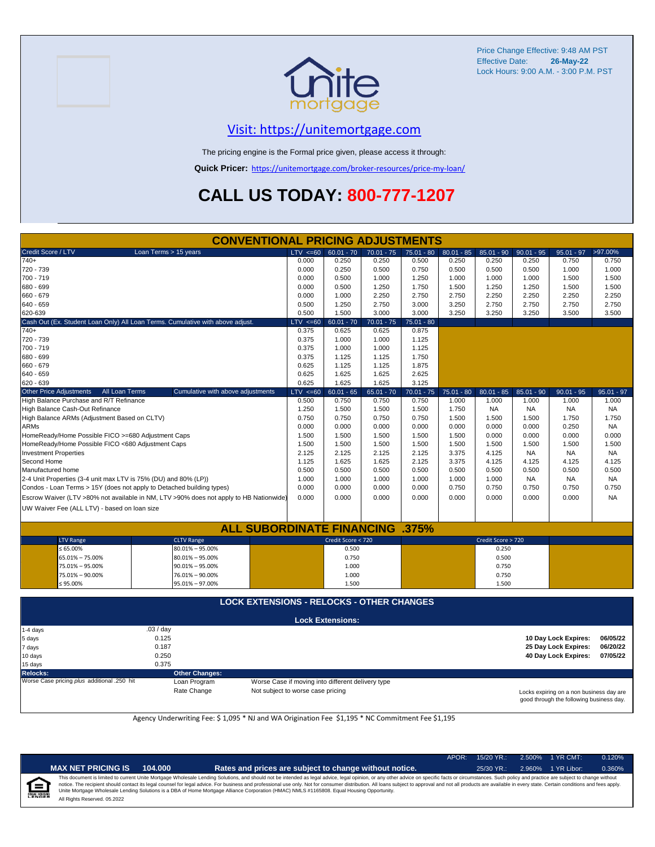



### [V](https://unitemortgage.com/)isit: https://unitemortgage.com

The pricing engine is the Formal price given, please access it through:

**Quick Pricer:** [https://un](https://unitemortgage.com/broker-resources/price-my-loan/)itemortgage.com/broker-resources/price-my-loan/

## **CALL US TODAY: 800-777-1207**

| <b>CONVENTIONAL PRICING ADJUSTMENTS</b>                               |                                                                                        |              |                         |              |              |              |                    |              |              |              |  |
|-----------------------------------------------------------------------|----------------------------------------------------------------------------------------|--------------|-------------------------|--------------|--------------|--------------|--------------------|--------------|--------------|--------------|--|
| Credit Score / LTV                                                    | Loan Terms > 15 years                                                                  | $LTV \le 60$ | $60.01 - 70$            | $70.01 - 75$ | $75.01 - 80$ | $80.01 - 85$ | $85.01 - 90$       | $90.01 - 95$ | $95.01 - 97$ | >97.00%      |  |
| $740+$                                                                |                                                                                        | 0.000        | 0.250                   | 0.250        | 0.500        | 0.250        | 0.250              | 0.250        | 0.750        | 0.750        |  |
| 720 - 739                                                             |                                                                                        | 0.000        | 0.250                   | 0.500        | 0.750        | 0.500        | 0.500              | 0.500        | 1.000        | 1.000        |  |
| 700 - 719                                                             |                                                                                        | 0.000        | 0.500                   | 1.000        | 1.250        | 1.000        | 1.000              | 1.000        | 1.500        | 1.500        |  |
| 680 - 699                                                             | 0.000                                                                                  | 0.500        | 1.250                   | 1.750        | 1.500        | 1.250        | 1.250              | 1.500        | 1.500        |              |  |
| 660 - 679                                                             |                                                                                        | 0.000        | 1.000                   | 2.250        | 2.750        | 2.750        | 2.250              | 2.250        | 2.250        | 2.250        |  |
| 640 - 659                                                             |                                                                                        | 0.500        | 1.250                   | 2.750        | 3.000        | 3.250        | 2.750              | 2.750        | 2.750        | 2.750        |  |
| 620-639                                                               |                                                                                        | 0.500        | 1.500                   | 3.000        | 3.000        | 3.250        | 3.250              | 3.250        | 3.500        | 3.500        |  |
|                                                                       | Cash Out (Ex. Student Loan Only) All Loan Terms. Cumulative with above adjust.         | $LTV \le 60$ | $60.01 - 70$            | $70.01 - 75$ | $75.01 - 80$ |              |                    |              |              |              |  |
| $740+$                                                                |                                                                                        | 0.375        | 0.625                   | 0.625        | 0.875        |              |                    |              |              |              |  |
| 720 - 739                                                             |                                                                                        | 0.375        | 1.000                   | 1.000        | 1.125        |              |                    |              |              |              |  |
| 700 - 719                                                             |                                                                                        | 0.375        | 1.000                   | 1.000        | 1.125        |              |                    |              |              |              |  |
| 680 - 699                                                             |                                                                                        | 0.375        | 1.125                   | 1.125        | 1.750        |              |                    |              |              |              |  |
| 660 - 679                                                             |                                                                                        | 0.625        | 1.125                   | 1.125        | 1.875        |              |                    |              |              |              |  |
| 640 - 659                                                             |                                                                                        | 0.625        | 1.625                   | 1.625        | 2.625        |              |                    |              |              |              |  |
| 620 - 639                                                             |                                                                                        | 0.625        | 1.625                   | 1.625        | 3.125        |              |                    |              |              |              |  |
| <b>Other Price Adjustments</b><br>All Loan Terms                      | Cumulative with above adjustments                                                      | $LTV < =60$  | $60.01 - 65$            | $65.01 - 70$ | $70.01 - 75$ | $75.01 - 80$ | $80.01 - 85$       | $85.01 - 90$ | $90.01 - 95$ | $95.01 - 97$ |  |
| High Balance Purchase and R/T Refinance                               |                                                                                        | 0.500        | 0.750                   | 0.750        | 0.750        | 1.000        | 1.000              | 1.000        | 1.000        | 1.000        |  |
| High Balance Cash-Out Refinance                                       |                                                                                        | 1.250        | 1.500                   | 1.500        | 1.500        | 1.750        | <b>NA</b>          | <b>NA</b>    | <b>NA</b>    | <b>NA</b>    |  |
| High Balance ARMs (Adjustment Based on CLTV)                          |                                                                                        | 0.750        | 0.750                   | 0.750        | 0.750        | 1.500        | 1.500              | 1.500        | 1.750        | 1.750        |  |
| <b>ARMs</b>                                                           |                                                                                        | 0.000        | 0.000                   | 0.000        | 0.000        | 0.000        | 0.000              | 0.000        | 0.250        | <b>NA</b>    |  |
| HomeReady/Home Possible FICO >=680 Adjustment Caps                    |                                                                                        | 1.500        | 1.500                   | 1.500        | 1.500        | 1.500        | 0.000              | 0.000        | 0.000        | 0.000        |  |
| HomeReady/Home Possible FICO <680 Adjustment Caps                     |                                                                                        | 1.500        | 1.500                   | 1.500        | 1.500        | 1.500        | 1.500              | 1.500        | 1.500        | 1.500        |  |
| <b>Investment Properties</b>                                          |                                                                                        | 2.125        | 2.125                   | 2.125        | 2.125        | 3.375        | 4.125              | <b>NA</b>    | <b>NA</b>    | <b>NA</b>    |  |
| Second Home                                                           |                                                                                        | 1.125        | 1.625                   | 1.625        | 2.125        | 3.375        | 4.125              | 4.125        | 4.125        | 4.125        |  |
| Manufactured home                                                     |                                                                                        | 0.500        | 0.500                   | 0.500        | 0.500        | 0.500        | 0.500              | 0.500        | 0.500        | 0.500        |  |
| 2-4 Unit Properties (3-4 unit max LTV is 75% (DU) and 80% (LP))       |                                                                                        | 1.000        | 1.000                   | 1.000        | 1.000        | 1.000        | 1.000              | <b>NA</b>    | <b>NA</b>    | <b>NA</b>    |  |
| Condos - Loan Terms > 15Y (does not apply to Detached building types) |                                                                                        | 0.000        | 0.000                   | 0.000        | 0.000        | 0.750        | 0.750              | 0.750        | 0.750        | 0.750        |  |
|                                                                       | Escrow Waiver (LTV >80% not available in NM, LTV >90% does not apply to HB Nationwide) | 0.000        | 0.000                   | 0.000        | 0.000        | 0.000        | 0.000              | 0.000        | 0.000        | <b>NA</b>    |  |
| UW Waiver Fee (ALL LTV) - based on loan size                          |                                                                                        |              |                         |              |              |              |                    |              |              |              |  |
|                                                                       |                                                                                        |              |                         |              |              |              |                    |              |              |              |  |
|                                                                       | <b>ALL SUBORDINATE FINANCING .375%</b>                                                 |              |                         |              |              |              |                    |              |              |              |  |
| <b>LTV Range</b>                                                      | <b>CLTV Range</b>                                                                      |              | Credit Score < 720      |              |              |              | Credit Score > 720 |              |              |              |  |
| $\leq 65.00\%$                                                        | 80.01% - 95.00%                                                                        |              | 0.500                   |              |              |              | 0.250              |              |              |              |  |
| 65.01% - 75.00%                                                       | 80.01% - 95.00%                                                                        |              | 0.750                   |              |              |              | 0.500              |              |              |              |  |
| 75.01% - 95.00%                                                       |                                                                                        | 1.000        |                         |              |              | 0.750        |                    |              |              |              |  |
| 75.01% - 90.00%                                                       | 90.01% - 95.00%<br>76.01% - 90.00%                                                     |              | 1.000                   |              |              |              | 0.750              |              |              |              |  |
| ≤ 95.00%                                                              | 95.01% - 97.00%                                                                        |              | 1.500                   |              |              |              | 1.500              |              |              |              |  |
|                                                                       |                                                                                        |              |                         |              |              |              |                    |              |              |              |  |
| <b>LOCK EXTENSIONS - RELOCKS - OTHER CHANGES</b>                      |                                                                                        |              |                         |              |              |              |                    |              |              |              |  |
|                                                                       |                                                                                        |              | <b>Lock Extensions:</b> |              |              |              |                    |              |              |              |  |
| 1-4 days                                                              | .03/day                                                                                |              |                         |              |              |              |                    |              |              |              |  |

| $1-4$ days                                  | .03 / day             |                                                   |                                                                                      |          |
|---------------------------------------------|-----------------------|---------------------------------------------------|--------------------------------------------------------------------------------------|----------|
| 5 days                                      | 0.125                 |                                                   | 10 Day Lock Expires:                                                                 | 06/05/22 |
| 7 days                                      | 0.187                 |                                                   | 25 Day Lock Expires:                                                                 | 06/20/22 |
| 10 days                                     | 0.250                 |                                                   | 40 Day Lock Expires:                                                                 | 07/05/22 |
| 15 days                                     | 0.375                 |                                                   |                                                                                      |          |
| Relocks:                                    | <b>Other Changes:</b> |                                                   |                                                                                      |          |
| Worse Case pricing plus additional .250 hit | Loan Program          | Worse Case if moving into different delivery type |                                                                                      |          |
|                                             | Rate Change           | Not subject to worse case pricing                 | Locks expiring on a non business day are<br>good through the following business day. |          |

Agency Underwriting Fee: \$ 1,095 \* NJ and WA Origination Fee \$1,195 \* NC Commitment Fee \$1,195

∊

|  | 104.000<br>Ra | <b>PRICING IS</b> |
|--|---------------|-------------------|
|--|---------------|-------------------|

**MAX NET PRICING IS** 104.000 **Rates and prices are subject to change without notice.** 25/30 YR.: 2.960% 1 YR Libor: 0.360%

APOR: 15/20 YR.: 2.500% 1 YR CMT: 0.120%

All Rights Reserved. 05.2022 This document is limited to current Unite Mortgage Wholesale Lending Solutions, and should not be intended as legal advice, legal opinion, or any other advice on specific facts or circumstances. Such policy and practice ar